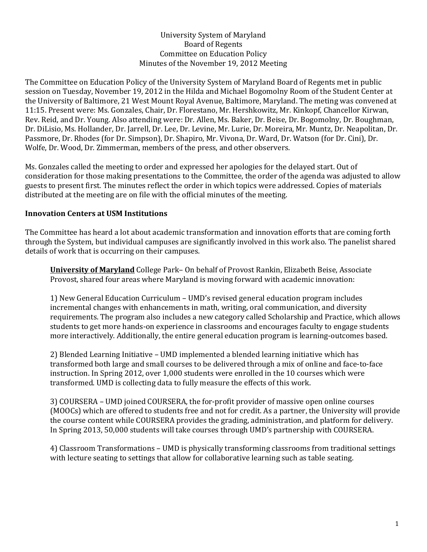#### University System of Maryland Board of Regents Committee on Education Policy Minutes of the November 19, 2012 Meeting

The Committee on Education Policy of the University System of Maryland Board of Regents met in public session on Tuesday, November 19, 2012 in the Hilda and Michael Bogomolny Room of the Student Center at the University of Baltimore, 21 West Mount Royal Avenue, Baltimore, Maryland. The meting was convened at 11:15. Present were: Ms. Gonzales, Chair, Dr. Florestano, Mr. Hershkowitz, Mr. Kinkopf, Chancellor Kirwan, Rev. Reid, and Dr. Young. Also attending were: Dr. Allen, Ms. Baker, Dr. Beise, Dr. Bogomolny, Dr. Boughman, Dr. DiLisio, Ms. Hollander, Dr. Jarrell, Dr. Lee, Dr. Levine, Mr. Lurie, Dr. Moreira, Mr. Muntz, Dr. Neapolitan, Dr. Passmore, Dr. Rhodes (for Dr. Simpson), Dr. Shapiro, Mr. Vivona, Dr. Ward, Dr. Watson (for Dr. Cini), Dr. Wolfe, Dr. Wood, Dr. Zimmerman, members of the press, and other observers.

Ms. Gonzales called the meeting to order and expressed her apologies for the delayed start. Out of consideration for those making presentations to the Committee, the order of the agenda was adjusted to allow guests to present first. The minutes reflect the order in which topics were addressed. Copies of materials distributed at the meeting are on file with the official minutes of the meeting.

### **Innovation Centers at USM Institutions**

The Committee has heard a lot about academic transformation and innovation efforts that are coming forth through the System, but individual campuses are significantly involved in this work also. The panelist shared details of work that is occurring on their campuses.

**University of Maryland** College Park– On behalf of Provost Rankin, Elizabeth Beise, Associate Provost, shared four areas where Maryland is moving forward with academic innovation:

1) New General Education Curriculum – UMD's revised general education program includes incremental changes with enhancements in math, writing, oral communication, and diversity requirements. The program also includes a new category called Scholarship and Practice, which allows students to get more hands-on experience in classrooms and encourages faculty to engage students more interactively. Additionally, the entire general education program is learning-outcomes based.

2) Blended Learning Initiative – UMD implemented a blended learning initiative which has transformed both large and small courses to be delivered through a mix of online and face-to-face instruction. In Spring 2012, over 1,000 students were enrolled in the 10 courses which were transformed. UMD is collecting data to fully measure the effects of this work.

3) COURSERA – UMD joined COURSERA, the for-profit provider of massive open online courses (MOOCs) which are offered to students free and not for credit. As a partner, the University will provide the course content while COURSERA provides the grading, administration, and platform for delivery. In Spring 2013, 50,000 students will take courses through UMD's partnership with COURSERA.

4) Classroom Transformations – UMD is physically transforming classrooms from traditional settings with lecture seating to settings that allow for collaborative learning such as table seating.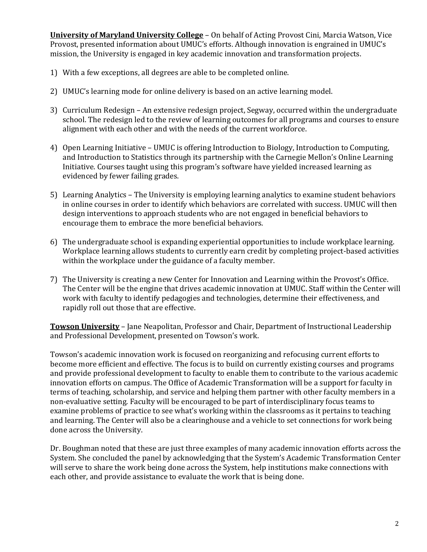**University of Maryland University College** – On behalf of Acting Provost Cini, Marcia Watson, Vice Provost, presented information about UMUC's efforts. Although innovation is engrained in UMUC's mission, the University is engaged in key academic innovation and transformation projects.

- 1) With a few exceptions, all degrees are able to be completed online.
- 2) UMUC's learning mode for online delivery is based on an active learning model.
- 3) Curriculum Redesign An extensive redesign project, Segway, occurred within the undergraduate school. The redesign led to the review of learning outcomes for all programs and courses to ensure alignment with each other and with the needs of the current workforce.
- 4) Open Learning Initiative UMUC is offering Introduction to Biology, Introduction to Computing, and Introduction to Statistics through its partnership with the Carnegie Mellon's Online Learning Initiative. Courses taught using this program's software have yielded increased learning as evidenced by fewer failing grades.
- 5) Learning Analytics The University is employing learning analytics to examine student behaviors in online courses in order to identify which behaviors are correlated with success. UMUC will then design interventions to approach students who are not engaged in beneficial behaviors to encourage them to embrace the more beneficial behaviors.
- 6) The undergraduate school is expanding experiential opportunities to include workplace learning. Workplace learning allows students to currently earn credit by completing project-based activities within the workplace under the guidance of a faculty member.
- 7) The University is creating a new Center for Innovation and Learning within the Provost's Office. The Center will be the engine that drives academic innovation at UMUC. Staff within the Center will work with faculty to identify pedagogies and technologies, determine their effectiveness, and rapidly roll out those that are effective.

**Towson University** – Jane Neapolitan, Professor and Chair, Department of Instructional Leadership and Professional Development, presented on Towson's work.

Towson's academic innovation work is focused on reorganizing and refocusing current efforts to become more efficient and effective. The focus is to build on currently existing courses and programs and provide professional development to faculty to enable them to contribute to the various academic innovation efforts on campus. The Office of Academic Transformation will be a support for faculty in terms of teaching, scholarship, and service and helping them partner with other faculty members in a non-evaluative setting. Faculty will be encouraged to be part of interdisciplinary focus teams to examine problems of practice to see what's working within the classrooms as it pertains to teaching and learning. The Center will also be a clearinghouse and a vehicle to set connections for work being done across the University.

Dr. Boughman noted that these are just three examples of many academic innovation efforts across the System. She concluded the panel by acknowledging that the System's Academic Transformation Center will serve to share the work being done across the System, help institutions make connections with each other, and provide assistance to evaluate the work that is being done.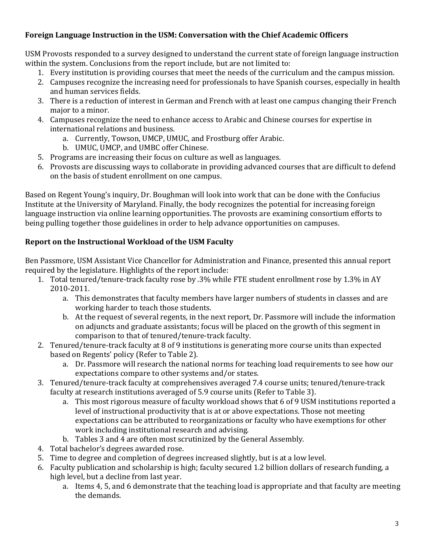# **Foreign Language Instruction in the USM: Conversation with the Chief Academic Officers**

USM Provosts responded to a survey designed to understand the current state of foreign language instruction within the system. Conclusions from the report include, but are not limited to:

- 1. Every institution is providing courses that meet the needs of the curriculum and the campus mission.
- 2. Campuses recognize the increasing need for professionals to have Spanish courses, especially in health and human services fields.
- 3. There is a reduction of interest in German and French with at least one campus changing their French major to a minor.
- 4. Campuses recognize the need to enhance access to Arabic and Chinese courses for expertise in international relations and business.
	- a. Currently, Towson, UMCP, UMUC, and Frostburg offer Arabic.
	- b. UMUC, UMCP, and UMBC offer Chinese.
- 5. Programs are increasing their focus on culture as well as languages.
- 6. Provosts are discussing ways to collaborate in providing advanced courses that are difficult to defend on the basis of student enrollment on one campus.

Based on Regent Young's inquiry, Dr. Boughman will look into work that can be done with the Confucius Institute at the University of Maryland. Finally, the body recognizes the potential for increasing foreign language instruction via online learning opportunities. The provosts are examining consortium efforts to being pulling together those guidelines in order to help advance opportunities on campuses.

## **Report on the Instructional Workload of the USM Faculty**

Ben Passmore, USM Assistant Vice Chancellor for Administration and Finance, presented this annual report required by the legislature. Highlights of the report include:

- 1. Total tenured/tenure-track faculty rose by .3% while FTE student enrollment rose by 1.3% in AY 2010-2011.
	- a. This demonstrates that faculty members have larger numbers of students in classes and are working harder to teach those students.
	- b. At the request of several regents, in the next report, Dr. Passmore will include the information on adjuncts and graduate assistants; focus will be placed on the growth of this segment in comparison to that of tenured/tenure-track faculty.
- 2. Tenured/tenure-track faculty at 8 of 9 institutions is generating more course units than expected based on Regents' policy (Refer to Table 2).
	- a. Dr. Passmore will research the national norms for teaching load requirements to see how our expectations compare to other systems and/or states.
- 3. Tenured/tenure-track faculty at comprehensives averaged 7.4 course units; tenured/tenure-track faculty at research institutions averaged of 5.9 course units (Refer to Table 3).
	- a. This most rigorous measure of faculty workload shows that 6 of 9 USM institutions reported a level of instructional productivity that is at or above expectations. Those not meeting expectations can be attributed to reorganizations or faculty who have exemptions for other work including institutional research and advising.
	- b. Tables 3 and 4 are often most scrutinized by the General Assembly.
- 4. Total bachelor's degrees awarded rose.
- 5. Time to degree and completion of degrees increased slightly, but is at a low level.
- 6. Faculty publication and scholarship is high; faculty secured 1.2 billion dollars of research funding, a high level, but a decline from last year.
	- a. Items 4, 5, and 6 demonstrate that the teaching load is appropriate and that faculty are meeting the demands.